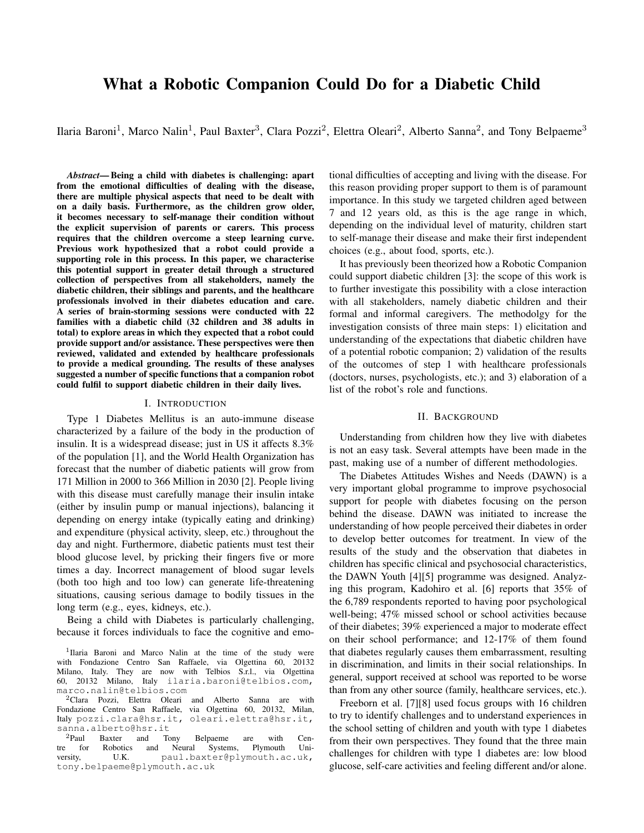# What a Robotic Companion Could Do for a Diabetic Child

Ilaria Baroni<sup>1</sup>, Marco Nalin<sup>1</sup>, Paul Baxter<sup>3</sup>, Clara Pozzi<sup>2</sup>, Elettra Oleari<sup>2</sup>, Alberto Sanna<sup>2</sup>, and Tony Belpaeme<sup>3</sup>

*Abstract*— Being a child with diabetes is challenging: apart from the emotional difficulties of dealing with the disease, there are multiple physical aspects that need to be dealt with on a daily basis. Furthermore, as the children grow older, it becomes necessary to self-manage their condition without the explicit supervision of parents or carers. This process requires that the children overcome a steep learning curve. Previous work hypothesized that a robot could provide a supporting role in this process. In this paper, we characterise this potential support in greater detail through a structured collection of perspectives from all stakeholders, namely the diabetic children, their siblings and parents, and the healthcare professionals involved in their diabetes education and care. A series of brain-storming sessions were conducted with 22 families with a diabetic child (32 children and 38 adults in total) to explore areas in which they expected that a robot could provide support and/or assistance. These perspectives were then reviewed, validated and extended by healthcare professionals to provide a medical grounding. The results of these analyses suggested a number of specific functions that a companion robot could fulfil to support diabetic children in their daily lives.

#### I. INTRODUCTION

Type 1 Diabetes Mellitus is an auto-immune disease characterized by a failure of the body in the production of insulin. It is a widespread disease; just in US it affects 8.3% of the population [1], and the World Health Organization has forecast that the number of diabetic patients will grow from 171 Million in 2000 to 366 Million in 2030 [2]. People living with this disease must carefully manage their insulin intake (either by insulin pump or manual injections), balancing it depending on energy intake (typically eating and drinking) and expenditure (physical activity, sleep, etc.) throughout the day and night. Furthermore, diabetic patients must test their blood glucose level, by pricking their fingers five or more times a day. Incorrect management of blood sugar levels (both too high and too low) can generate life-threatening situations, causing serious damage to bodily tissues in the long term (e.g., eyes, kidneys, etc.).

Being a child with Diabetes is particularly challenging, because it forces individuals to face the cognitive and emo-

<sup>1</sup>Ilaria Baroni and Marco Nalin at the time of the study were with Fondazione Centro San Raffaele, via Olgettina 60, 20132 Milano, Italy. They are now with Telbios S.r.l., via Olgettina 60, 20132 Milano, Italy ilaria.baroni@telbios.com, marco.nalin@telbios.com

<sup>2</sup>Clara Pozzi, Elettra Oleari and Alberto Sanna are with Fondazione Centro San Raffaele, via Olgettina 60, 20132, Milan, Italy pozzi.clara@hsr.it, oleari.elettra@hsr.it, sanna.alberto@hsr.it<br><sup>2</sup>Paul Baxter and To

<sup>2</sup>Paul Baxter and Tony Belpaeme are with Cen-<br>tre for Robotics and Neural Systems, Plymouth Unitre for Robotics and Neural Systems, Plymouth Uni-<br>versity, U.K. paul.baxter@plymouth.ac.uk, paul.baxter@plymouth.ac.uk, tony.belpaeme@plymouth.ac.uk

tional difficulties of accepting and living with the disease. For this reason providing proper support to them is of paramount importance. In this study we targeted children aged between 7 and 12 years old, as this is the age range in which, depending on the individual level of maturity, children start to self-manage their disease and make their first independent choices (e.g., about food, sports, etc.).

It has previously been theorized how a Robotic Companion could support diabetic children [3]: the scope of this work is to further investigate this possibility with a close interaction with all stakeholders, namely diabetic children and their formal and informal caregivers. The methodolgy for the investigation consists of three main steps: 1) elicitation and understanding of the expectations that diabetic children have of a potential robotic companion; 2) validation of the results of the outcomes of step 1 with healthcare professionals (doctors, nurses, psychologists, etc.); and 3) elaboration of a list of the robot's role and functions.

### II. BACKGROUND

Understanding from children how they live with diabetes is not an easy task. Several attempts have been made in the past, making use of a number of different methodologies.

The Diabetes Attitudes Wishes and Needs (DAWN) is a very important global programme to improve psychosocial support for people with diabetes focusing on the person behind the disease. DAWN was initiated to increase the understanding of how people perceived their diabetes in order to develop better outcomes for treatment. In view of the results of the study and the observation that diabetes in children has specific clinical and psychosocial characteristics, the DAWN Youth [4][5] programme was designed. Analyzing this program, Kadohiro et al. [6] reports that 35% of the 6,789 respondents reported to having poor psychological well-being; 47% missed school or school activities because of their diabetes; 39% experienced a major to moderate effect on their school performance; and 12-17% of them found that diabetes regularly causes them embarrassment, resulting in discrimination, and limits in their social relationships. In general, support received at school was reported to be worse than from any other source (family, healthcare services, etc.).

Freeborn et al. [7][8] used focus groups with 16 children to try to identify challenges and to understand experiences in the school setting of children and youth with type 1 diabetes from their own perspectives. They found that the three main challenges for children with type 1 diabetes are: low blood glucose, self-care activities and feeling different and/or alone.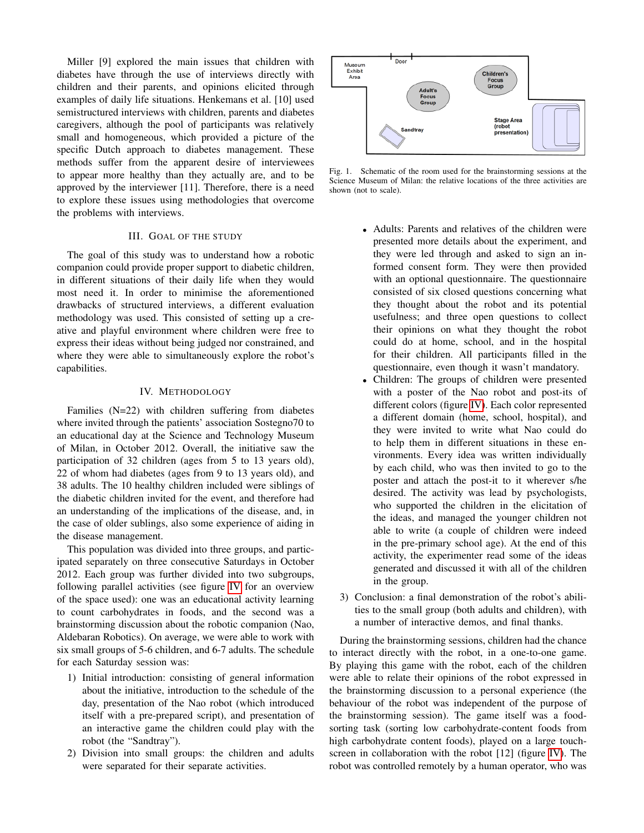Miller [9] explored the main issues that children with diabetes have through the use of interviews directly with children and their parents, and opinions elicited through examples of daily life situations. Henkemans et al. [10] used semistructured interviews with children, parents and diabetes caregivers, although the pool of participants was relatively small and homogeneous, which provided a picture of the specific Dutch approach to diabetes management. These methods suffer from the apparent desire of interviewees to appear more healthy than they actually are, and to be approved by the interviewer [11]. Therefore, there is a need to explore these issues using methodologies that overcome the problems with interviews.

# III. GOAL OF THE STUDY

The goal of this study was to understand how a robotic companion could provide proper support to diabetic children, in different situations of their daily life when they would most need it. In order to minimise the aforementioned drawbacks of structured interviews, a different evaluation methodology was used. This consisted of setting up a creative and playful environment where children were free to express their ideas without being judged nor constrained, and where they were able to simultaneously explore the robot's capabilities.

## IV. METHODOLOGY

<span id="page-1-0"></span>Families (N=22) with children suffering from diabetes where invited through the patients' association Sostegno70 to an educational day at the Science and Technology Museum of Milan, in October 2012. Overall, the initiative saw the participation of 32 children (ages from 5 to 13 years old), 22 of whom had diabetes (ages from 9 to 13 years old), and 38 adults. The 10 healthy children included were siblings of the diabetic children invited for the event, and therefore had an understanding of the implications of the disease, and, in the case of older sublings, also some experience of aiding in the disease management.

This population was divided into three groups, and participated separately on three consecutive Saturdays in October 2012. Each group was further divided into two subgroups, following parallel activities (see figure [IV](#page-1-0) for an overview of the space used): one was an educational activity learning to count carbohydrates in foods, and the second was a brainstorming discussion about the robotic companion (Nao, Aldebaran Robotics). On average, we were able to work with six small groups of 5-6 children, and 6-7 adults. The schedule for each Saturday session was:

- 1) Initial introduction: consisting of general information about the initiative, introduction to the schedule of the day, presentation of the Nao robot (which introduced itself with a pre-prepared script), and presentation of an interactive game the children could play with the robot (the "Sandtray").
- 2) Division into small groups: the children and adults were separated for their separate activities.



Fig. 1. Schematic of the room used for the brainstorming sessions at the Science Museum of Milan: the relative locations of the three activities are shown (not to scale).

- Adults: Parents and relatives of the children were presented more details about the experiment, and they were led through and asked to sign an informed consent form. They were then provided with an optional questionnaire. The questionnaire consisted of six closed questions concerning what they thought about the robot and its potential usefulness; and three open questions to collect their opinions on what they thought the robot could do at home, school, and in the hospital for their children. All participants filled in the questionnaire, even though it wasn't mandatory.
- Children: The groups of children were presented with a poster of the Nao robot and post-its of different colors (figure [IV\)](#page-1-1). Each color represented a different domain (home, school, hospital), and they were invited to write what Nao could do to help them in different situations in these environments. Every idea was written individually by each child, who was then invited to go to the poster and attach the post-it to it wherever s/he desired. The activity was lead by psychologists, who supported the children in the elicitation of the ideas, and managed the younger children not able to write (a couple of children were indeed in the pre-primary school age). At the end of this activity, the experimenter read some of the ideas generated and discussed it with all of the children in the group.
- <span id="page-1-1"></span>3) Conclusion: a final demonstration of the robot's abilities to the small group (both adults and children), with a number of interactive demos, and final thanks.

During the brainstorming sessions, children had the chance to interact directly with the robot, in a one-to-one game. By playing this game with the robot, each of the children were able to relate their opinions of the robot expressed in the brainstorming discussion to a personal experience (the behaviour of the robot was independent of the purpose of the brainstorming session). The game itself was a foodsorting task (sorting low carbohydrate-content foods from high carbohydrate content foods), played on a large touchscreen in collaboration with the robot [12] (figure [IV\)](#page-2-0). The robot was controlled remotely by a human operator, who was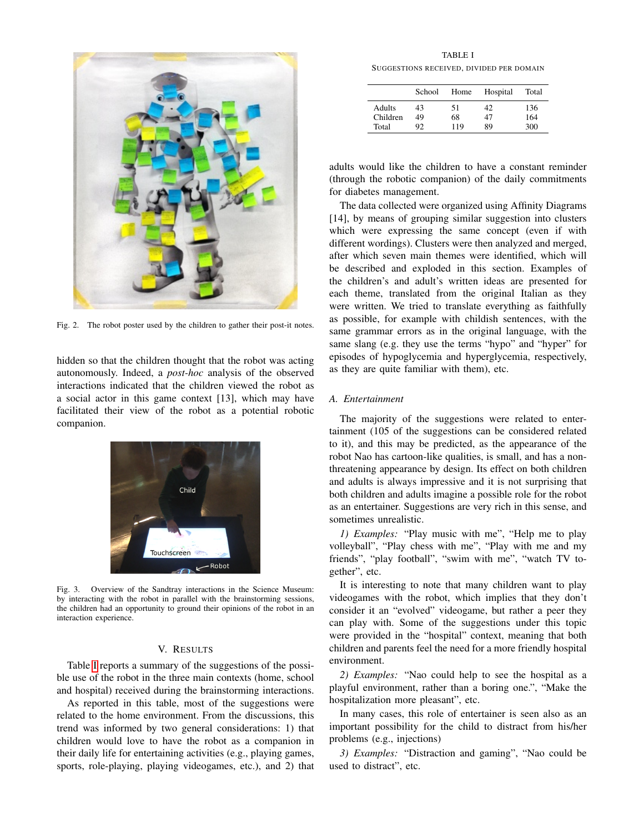

Fig. 2. The robot poster used by the children to gather their post-it notes.

<span id="page-2-0"></span>hidden so that the children thought that the robot was acting autonomously. Indeed, a *post-hoc* analysis of the observed interactions indicated that the children viewed the robot as a social actor in this game context [13], which may have facilitated their view of the robot as a potential robotic companion.



Fig. 3. Overview of the Sandtray interactions in the Science Museum: by interacting with the robot in parallel with the brainstorming sessions, the children had an opportunity to ground their opinions of the robot in an interaction experience.

# V. RESULTS

Table [I](#page-2-1) reports a summary of the suggestions of the possible use of the robot in the three main contexts (home, school and hospital) received during the brainstorming interactions.

As reported in this table, most of the suggestions were related to the home environment. From the discussions, this trend was informed by two general considerations: 1) that children would love to have the robot as a companion in their daily life for entertaining activities (e.g., playing games, sports, role-playing, playing videogames, etc.), and 2) that

<span id="page-2-1"></span>TABLE I SUGGESTIONS RECEIVED, DIVIDED PER DOMAIN

|               | School | Home | Hospital | Total |
|---------------|--------|------|----------|-------|
| <b>Adults</b> | 43     | 51   | 42       | 136   |
| Children      | 49     | 68   | 47       | 164   |
| Total         | 92     | 119  | 89       | 300   |

adults would like the children to have a constant reminder (through the robotic companion) of the daily commitments for diabetes management.

The data collected were organized using Affinity Diagrams [14], by means of grouping similar suggestion into clusters which were expressing the same concept (even if with different wordings). Clusters were then analyzed and merged, after which seven main themes were identified, which will be described and exploded in this section. Examples of the children's and adult's written ideas are presented for each theme, translated from the original Italian as they were written. We tried to translate everything as faithfully as possible, for example with childish sentences, with the same grammar errors as in the original language, with the same slang (e.g. they use the terms "hypo" and "hyper" for episodes of hypoglycemia and hyperglycemia, respectively, as they are quite familiar with them), etc.

## *A. Entertainment*

The majority of the suggestions were related to entertainment (105 of the suggestions can be considered related to it), and this may be predicted, as the appearance of the robot Nao has cartoon-like qualities, is small, and has a nonthreatening appearance by design. Its effect on both children and adults is always impressive and it is not surprising that both children and adults imagine a possible role for the robot as an entertainer. Suggestions are very rich in this sense, and sometimes unrealistic.

*1) Examples:* "Play music with me", "Help me to play volleyball", "Play chess with me", "Play with me and my friends", "play football", "swim with me", "watch TV together", etc.

It is interesting to note that many children want to play videogames with the robot, which implies that they don't consider it an "evolved" videogame, but rather a peer they can play with. Some of the suggestions under this topic were provided in the "hospital" context, meaning that both children and parents feel the need for a more friendly hospital environment.

*2) Examples:* "Nao could help to see the hospital as a playful environment, rather than a boring one.", "Make the hospitalization more pleasant", etc.

In many cases, this role of entertainer is seen also as an important possibility for the child to distract from his/her problems (e.g., injections)

*3) Examples:* "Distraction and gaming", "Nao could be used to distract", etc.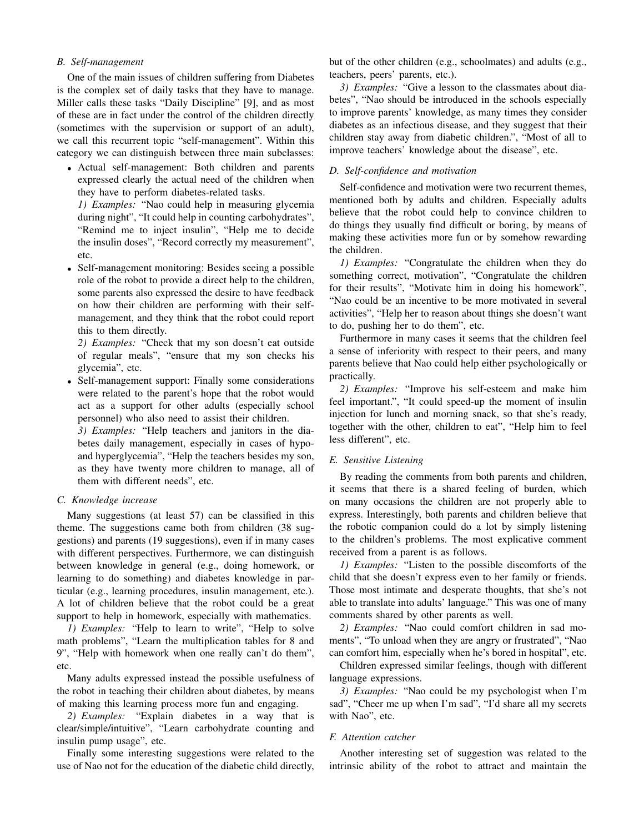# *B. Self-management*

One of the main issues of children suffering from Diabetes is the complex set of daily tasks that they have to manage. Miller calls these tasks "Daily Discipline" [9], and as most of these are in fact under the control of the children directly (sometimes with the supervision or support of an adult), we call this recurrent topic "self-management". Within this category we can distinguish between three main subclasses:

• Actual self-management: Both children and parents expressed clearly the actual need of the children when they have to perform diabetes-related tasks.

*1) Examples:* "Nao could help in measuring glycemia during night", "It could help in counting carbohydrates", "Remind me to inject insulin", "Help me to decide the insulin doses", "Record correctly my measurement", etc.

• Self-management monitoring: Besides seeing a possible role of the robot to provide a direct help to the children, some parents also expressed the desire to have feedback on how their children are performing with their selfmanagement, and they think that the robot could report this to them directly.

*2) Examples:* "Check that my son doesn't eat outside of regular meals", "ensure that my son checks his glycemia", etc.

• Self-management support: Finally some considerations were related to the parent's hope that the robot would act as a support for other adults (especially school personnel) who also need to assist their children.

*3) Examples:* "Help teachers and janitors in the diabetes daily management, especially in cases of hypoand hyperglycemia", "Help the teachers besides my son, as they have twenty more children to manage, all of them with different needs", etc.

# *C. Knowledge increase*

Many suggestions (at least 57) can be classified in this theme. The suggestions came both from children (38 suggestions) and parents (19 suggestions), even if in many cases with different perspectives. Furthermore, we can distinguish between knowledge in general (e.g., doing homework, or learning to do something) and diabetes knowledge in particular (e.g., learning procedures, insulin management, etc.). A lot of children believe that the robot could be a great support to help in homework, especially with mathematics.

*1) Examples:* "Help to learn to write", "Help to solve math problems", "Learn the multiplication tables for 8 and 9", "Help with homework when one really can't do them", etc.

Many adults expressed instead the possible usefulness of the robot in teaching their children about diabetes, by means of making this learning process more fun and engaging.

*2) Examples:* "Explain diabetes in a way that is clear/simple/intuitive", "Learn carbohydrate counting and insulin pump usage", etc.

Finally some interesting suggestions were related to the use of Nao not for the education of the diabetic child directly,

but of the other children (e.g., schoolmates) and adults (e.g., teachers, peers' parents, etc.).

*3) Examples:* "Give a lesson to the classmates about diabetes", "Nao should be introduced in the schools especially to improve parents' knowledge, as many times they consider diabetes as an infectious disease, and they suggest that their children stay away from diabetic children.", "Most of all to improve teachers' knowledge about the disease", etc.

## *D. Self-confidence and motivation*

Self-confidence and motivation were two recurrent themes, mentioned both by adults and children. Especially adults believe that the robot could help to convince children to do things they usually find difficult or boring, by means of making these activities more fun or by somehow rewarding the children.

*1) Examples:* "Congratulate the children when they do something correct, motivation", "Congratulate the children for their results", "Motivate him in doing his homework", "Nao could be an incentive to be more motivated in several activities", "Help her to reason about things she doesn't want to do, pushing her to do them", etc.

Furthermore in many cases it seems that the children feel a sense of inferiority with respect to their peers, and many parents believe that Nao could help either psychologically or practically.

*2) Examples:* "Improve his self-esteem and make him feel important.", "It could speed-up the moment of insulin injection for lunch and morning snack, so that she's ready, together with the other, children to eat", "Help him to feel less different", etc.

## *E. Sensitive Listening*

By reading the comments from both parents and children, it seems that there is a shared feeling of burden, which on many occasions the children are not properly able to express. Interestingly, both parents and children believe that the robotic companion could do a lot by simply listening to the children's problems. The most explicative comment received from a parent is as follows.

*1) Examples:* "Listen to the possible discomforts of the child that she doesn't express even to her family or friends. Those most intimate and desperate thoughts, that she's not able to translate into adults' language." This was one of many comments shared by other parents as well.

*2) Examples:* "Nao could comfort children in sad moments", "To unload when they are angry or frustrated", "Nao can comfort him, especially when he's bored in hospital", etc.

Children expressed similar feelings, though with different language expressions.

*3) Examples:* "Nao could be my psychologist when I'm sad", "Cheer me up when I'm sad", "I'd share all my secrets with Nao", etc.

#### *F. Attention catcher*

Another interesting set of suggestion was related to the intrinsic ability of the robot to attract and maintain the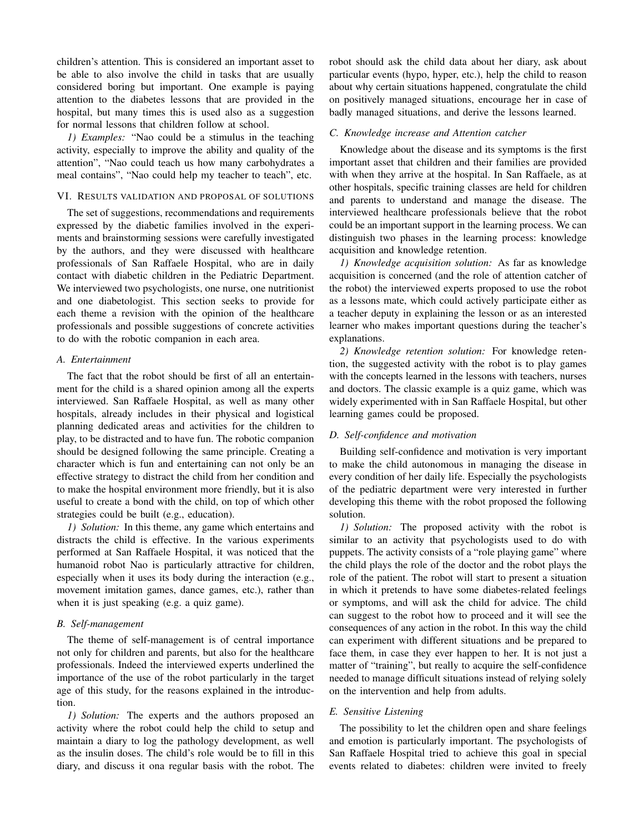children's attention. This is considered an important asset to be able to also involve the child in tasks that are usually considered boring but important. One example is paying attention to the diabetes lessons that are provided in the hospital, but many times this is used also as a suggestion for normal lessons that children follow at school.

*1) Examples:* "Nao could be a stimulus in the teaching activity, especially to improve the ability and quality of the attention", "Nao could teach us how many carbohydrates a meal contains", "Nao could help my teacher to teach", etc.

# VI. RESULTS VALIDATION AND PROPOSAL OF SOLUTIONS

The set of suggestions, recommendations and requirements expressed by the diabetic families involved in the experiments and brainstorming sessions were carefully investigated by the authors, and they were discussed with healthcare professionals of San Raffaele Hospital, who are in daily contact with diabetic children in the Pediatric Department. We interviewed two psychologists, one nurse, one nutritionist and one diabetologist. This section seeks to provide for each theme a revision with the opinion of the healthcare professionals and possible suggestions of concrete activities to do with the robotic companion in each area.

## *A. Entertainment*

The fact that the robot should be first of all an entertainment for the child is a shared opinion among all the experts interviewed. San Raffaele Hospital, as well as many other hospitals, already includes in their physical and logistical planning dedicated areas and activities for the children to play, to be distracted and to have fun. The robotic companion should be designed following the same principle. Creating a character which is fun and entertaining can not only be an effective strategy to distract the child from her condition and to make the hospital environment more friendly, but it is also useful to create a bond with the child, on top of which other strategies could be built (e.g., education).

*1) Solution:* In this theme, any game which entertains and distracts the child is effective. In the various experiments performed at San Raffaele Hospital, it was noticed that the humanoid robot Nao is particularly attractive for children, especially when it uses its body during the interaction (e.g., movement imitation games, dance games, etc.), rather than when it is just speaking (e.g. a quiz game).

# *B. Self-management*

The theme of self-management is of central importance not only for children and parents, but also for the healthcare professionals. Indeed the interviewed experts underlined the importance of the use of the robot particularly in the target age of this study, for the reasons explained in the introduction.

*1) Solution:* The experts and the authors proposed an activity where the robot could help the child to setup and maintain a diary to log the pathology development, as well as the insulin doses. The child's role would be to fill in this diary, and discuss it ona regular basis with the robot. The robot should ask the child data about her diary, ask about particular events (hypo, hyper, etc.), help the child to reason about why certain situations happened, congratulate the child on positively managed situations, encourage her in case of badly managed situations, and derive the lessons learned.

# *C. Knowledge increase and Attention catcher*

Knowledge about the disease and its symptoms is the first important asset that children and their families are provided with when they arrive at the hospital. In San Raffaele, as at other hospitals, specific training classes are held for children and parents to understand and manage the disease. The interviewed healthcare professionals believe that the robot could be an important support in the learning process. We can distinguish two phases in the learning process: knowledge acquisition and knowledge retention.

*1) Knowledge acquisition solution:* As far as knowledge acquisition is concerned (and the role of attention catcher of the robot) the interviewed experts proposed to use the robot as a lessons mate, which could actively participate either as a teacher deputy in explaining the lesson or as an interested learner who makes important questions during the teacher's explanations.

*2) Knowledge retention solution:* For knowledge retention, the suggested activity with the robot is to play games with the concepts learned in the lessons with teachers, nurses and doctors. The classic example is a quiz game, which was widely experimented with in San Raffaele Hospital, but other learning games could be proposed.

#### *D. Self-confidence and motivation*

Building self-confidence and motivation is very important to make the child autonomous in managing the disease in every condition of her daily life. Especially the psychologists of the pediatric department were very interested in further developing this theme with the robot proposed the following solution.

*1) Solution:* The proposed activity with the robot is similar to an activity that psychologists used to do with puppets. The activity consists of a "role playing game" where the child plays the role of the doctor and the robot plays the role of the patient. The robot will start to present a situation in which it pretends to have some diabetes-related feelings or symptoms, and will ask the child for advice. The child can suggest to the robot how to proceed and it will see the consequences of any action in the robot. In this way the child can experiment with different situations and be prepared to face them, in case they ever happen to her. It is not just a matter of "training", but really to acquire the self-confidence needed to manage difficult situations instead of relying solely on the intervention and help from adults.

# *E. Sensitive Listening*

The possibility to let the children open and share feelings and emotion is particularly important. The psychologists of San Raffaele Hospital tried to achieve this goal in special events related to diabetes: children were invited to freely